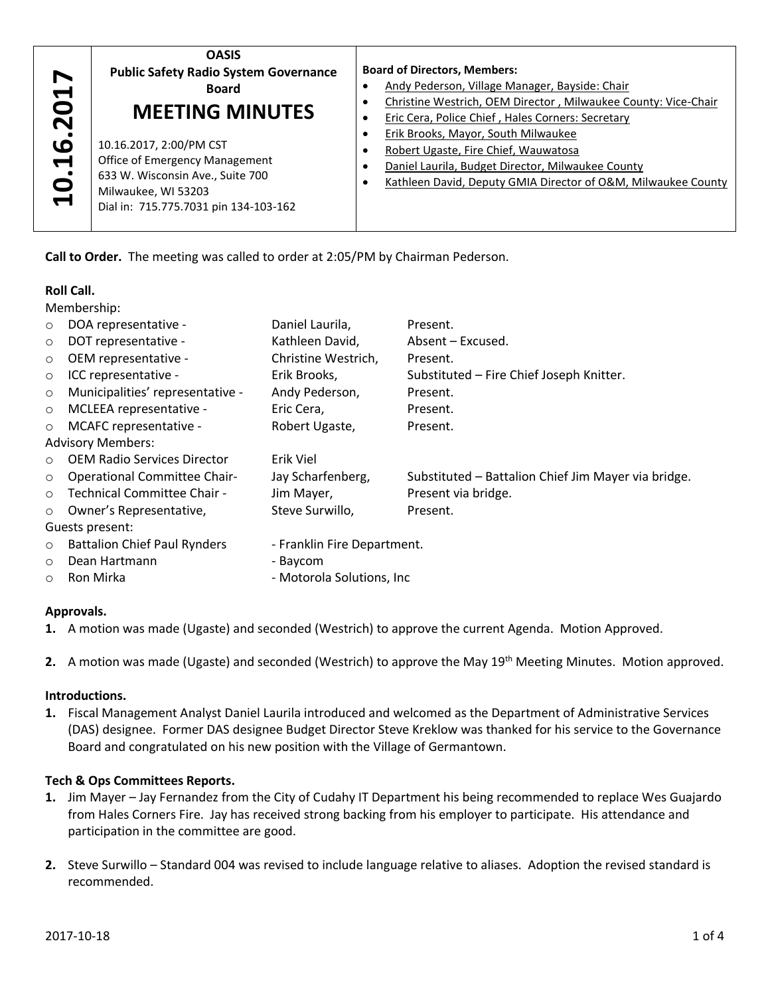| O<br><b>MEETING MINUTES</b><br>Eric Cera, Police Chief, Hales Corners: Secretary<br>$\overline{\mathbf{N}}$<br>Erik Brooks, Mayor, South Milwaukee<br>ဖ<br>10.16.2017, 2:00/PM CST<br>Robert Ugaste, Fire Chief, Wauwatosa<br>Office of Emergency Management<br>$\blacktriangleleft$<br>Daniel Laurila, Budget Director, Milwaukee County<br>ö<br>633 W. Wisconsin Ave., Suite 700<br>Milwaukee, WI 53203<br>$\overline{\phantom{0}}$<br>Dial in: 715.775.7031 pin 134-103-162 | <b>OASIS</b><br><b>Public Safety Radio System Governance</b><br><b>Board</b><br>$\blacksquare$ | <b>Board of Directors, Members:</b><br>Andy Pederson, Village Manager, Bayside: Chair<br>Christine Westrich, OEM Director, Milwaukee County: Vice-Chair<br>Kathleen David, Deputy GMIA Director of O&M, Milwaukee County |
|--------------------------------------------------------------------------------------------------------------------------------------------------------------------------------------------------------------------------------------------------------------------------------------------------------------------------------------------------------------------------------------------------------------------------------------------------------------------------------|------------------------------------------------------------------------------------------------|--------------------------------------------------------------------------------------------------------------------------------------------------------------------------------------------------------------------------|
|--------------------------------------------------------------------------------------------------------------------------------------------------------------------------------------------------------------------------------------------------------------------------------------------------------------------------------------------------------------------------------------------------------------------------------------------------------------------------------|------------------------------------------------------------------------------------------------|--------------------------------------------------------------------------------------------------------------------------------------------------------------------------------------------------------------------------|

## **Roll Call.**

|         | Ľ.<br><b>Office of Emergency Management</b><br>633 W. Wisconsin Ave., Suite 700<br>Milwaukee, WI 53203<br>Dial in: 715.775.7031 pin 134-103-162                                                                                                                                                             | $\bullet$                   | Daniel Laurila, Budget Director, Milwaukee County<br>Kathleen David, Deputy GMIA Director of O&M, Milwaukee                                                                                                                  |  |  |  |
|---------|-------------------------------------------------------------------------------------------------------------------------------------------------------------------------------------------------------------------------------------------------------------------------------------------------------------|-----------------------------|------------------------------------------------------------------------------------------------------------------------------------------------------------------------------------------------------------------------------|--|--|--|
|         | Call to Order. The meeting was called to order at 2:05/PM by Chairman Pederson.                                                                                                                                                                                                                             |                             |                                                                                                                                                                                                                              |  |  |  |
|         | <b>Roll Call.</b>                                                                                                                                                                                                                                                                                           |                             |                                                                                                                                                                                                                              |  |  |  |
|         | Membership:                                                                                                                                                                                                                                                                                                 |                             |                                                                                                                                                                                                                              |  |  |  |
| $\circ$ | DOA representative -<br>Daniel Laurila,                                                                                                                                                                                                                                                                     |                             | Present.                                                                                                                                                                                                                     |  |  |  |
| $\circ$ | Kathleen David,<br>DOT representative -                                                                                                                                                                                                                                                                     |                             | Absent - Excused.                                                                                                                                                                                                            |  |  |  |
| $\circ$ | OEM representative -<br>Christine Westrich,                                                                                                                                                                                                                                                                 |                             | Present.                                                                                                                                                                                                                     |  |  |  |
| $\circ$ | ICC representative -<br>Erik Brooks,                                                                                                                                                                                                                                                                        |                             | Substituted - Fire Chief Joseph Knitter.                                                                                                                                                                                     |  |  |  |
| $\circ$ | Municipalities' representative -<br>Andy Pederson,                                                                                                                                                                                                                                                          |                             | Present.                                                                                                                                                                                                                     |  |  |  |
| $\circ$ | MCLEEA representative -<br>Eric Cera,                                                                                                                                                                                                                                                                       |                             | Present.                                                                                                                                                                                                                     |  |  |  |
| $\circ$ | MCAFC representative -<br>Robert Ugaste,                                                                                                                                                                                                                                                                    |                             | Present.                                                                                                                                                                                                                     |  |  |  |
|         | <b>Advisory Members:</b>                                                                                                                                                                                                                                                                                    |                             |                                                                                                                                                                                                                              |  |  |  |
| $\circ$ | <b>OEM Radio Services Director</b><br>Erik Viel                                                                                                                                                                                                                                                             |                             |                                                                                                                                                                                                                              |  |  |  |
| $\circ$ | <b>Operational Committee Chair-</b><br>Jay Scharfenberg,                                                                                                                                                                                                                                                    |                             | Substituted - Battalion Chief Jim Mayer via bridge.                                                                                                                                                                          |  |  |  |
| $\circ$ | Technical Committee Chair -<br>Jim Mayer,                                                                                                                                                                                                                                                                   |                             | Present via bridge.                                                                                                                                                                                                          |  |  |  |
| $\circ$ | Owner's Representative,<br>Steve Surwillo,                                                                                                                                                                                                                                                                  |                             | Present.                                                                                                                                                                                                                     |  |  |  |
|         | Guests present:                                                                                                                                                                                                                                                                                             |                             |                                                                                                                                                                                                                              |  |  |  |
| $\circ$ | <b>Battalion Chief Paul Rynders</b>                                                                                                                                                                                                                                                                         | - Franklin Fire Department. |                                                                                                                                                                                                                              |  |  |  |
| $\circ$ | Dean Hartmann<br>- Baycom                                                                                                                                                                                                                                                                                   |                             |                                                                                                                                                                                                                              |  |  |  |
| O       | Ron Mirka<br>- Motorola Solutions, Inc                                                                                                                                                                                                                                                                      |                             |                                                                                                                                                                                                                              |  |  |  |
|         | Approvals.                                                                                                                                                                                                                                                                                                  |                             |                                                                                                                                                                                                                              |  |  |  |
|         | 1. A motion was made (Ugaste) and seconded (Westrich) to approve the current Agenda. Motion Approved.                                                                                                                                                                                                       |                             |                                                                                                                                                                                                                              |  |  |  |
|         |                                                                                                                                                                                                                                                                                                             |                             | 2. A motion was made (Ugaste) and seconded (Westrich) to approve the May $19^{th}$ Meeting Minutes. Motion appr                                                                                                              |  |  |  |
|         | Introductions.                                                                                                                                                                                                                                                                                              |                             |                                                                                                                                                                                                                              |  |  |  |
|         | 1. Fiscal Management Analyst Daniel Laurila introduced and welcomed as the Department of Administrative Servi<br>(DAS) designee. Former DAS designee Budget Director Steve Kreklow was thanked for his service to the Goverr<br>Board and congratulated on his new position with the Village of Germantown. |                             |                                                                                                                                                                                                                              |  |  |  |
|         |                                                                                                                                                                                                                                                                                                             |                             |                                                                                                                                                                                                                              |  |  |  |
|         | Tech & Ops Committees Reports.                                                                                                                                                                                                                                                                              |                             |                                                                                                                                                                                                                              |  |  |  |
|         | participation in the committee are good.                                                                                                                                                                                                                                                                    |                             | 1. Jim Mayer - Jay Fernandez from the City of Cudahy IT Department his being recommended to replace Wes Gua<br>from Hales Corners Fire. Jay has received strong backing from his employer to participate. His attendance and |  |  |  |
| 2.      | Steve Surwillo - Standard 004 was revised to include language relative to aliases. Adoption the revised standar<br>recommended.                                                                                                                                                                             |                             |                                                                                                                                                                                                                              |  |  |  |

#### **Approvals.**

2. A motion was made (Ugaste) and seconded (Westrich) to approve the May 19<sup>th</sup> Meeting Minutes. Motion approved.

#### **Introductions.**

# **Tech & Ops Committees Reports.**

- **1.** Jim Mayer Jay Fernandez from the City of Cudahy IT Department his being recommended to replace Wes Guajardo from Hales Corners Fire. Jay has received strong backing from his employer to participate. His attendance and participation in the committee are good.
- **2.** Steve Surwillo Standard 004 was revised to include language relative to aliases. Adoption the revised standard is recommended.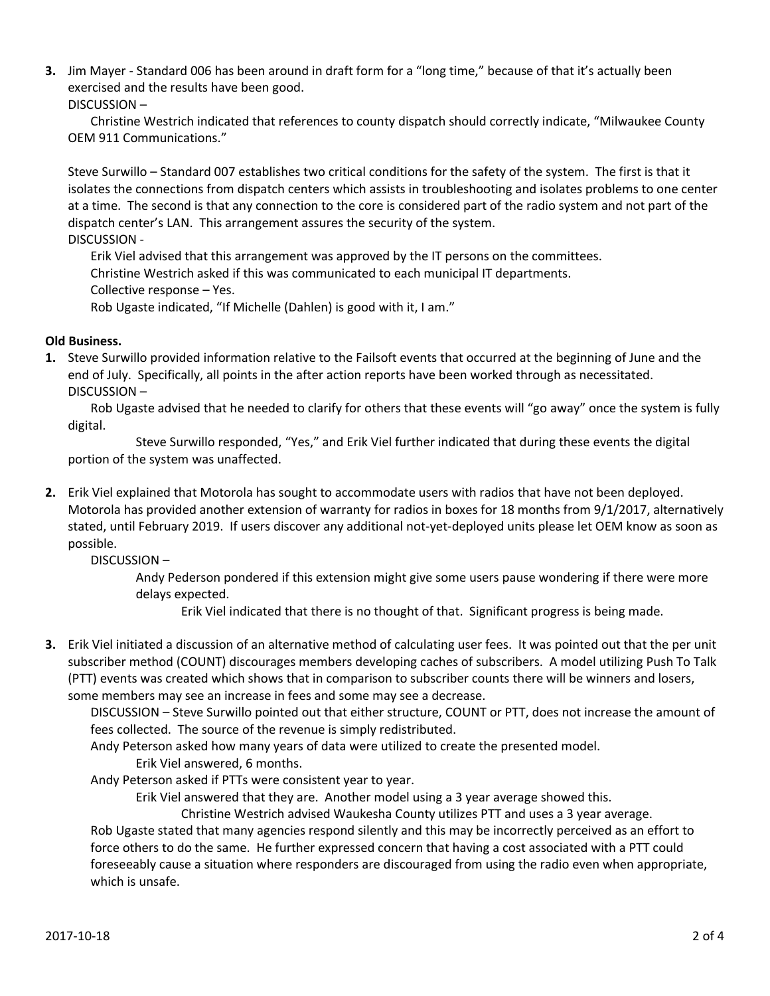**3.** Jim Mayer - Standard 006 has been around in draft form for a "long time," because of that it's actually been exercised and the results have been good.

#### DISCUSSION –

Christine Westrich indicated that references to county dispatch should correctly indicate, "Milwaukee County OEM 911 Communications."

Steve Surwillo – Standard 007 establishes two critical conditions for the safety of the system. The first is that it isolates the connections from dispatch centers which assists in troubleshooting and isolates problems to one center at a time. The second is that any connection to the core is considered part of the radio system and not part of the dispatch center's LAN. This arrangement assures the security of the system. DISCUSSION -

Erik Viel advised that this arrangement was approved by the IT persons on the committees. Christine Westrich asked if this was communicated to each municipal IT departments. Collective response – Yes. Rob Ugaste indicated, "If Michelle (Dahlen) is good with it, I am."

# **Old Business.**

**1.** Steve Surwillo provided information relative to the Failsoft events that occurred at the beginning of June and the end of July. Specifically, all points in the after action reports have been worked through as necessitated. DISCUSSION –

Rob Ugaste advised that he needed to clarify for others that these events will "go away" once the system is fully digital.

Steve Surwillo responded, "Yes," and Erik Viel further indicated that during these events the digital portion of the system was unaffected.

**2.** Erik Viel explained that Motorola has sought to accommodate users with radios that have not been deployed. Motorola has provided another extension of warranty for radios in boxes for 18 months from 9/1/2017, alternatively stated, until February 2019. If users discover any additional not-yet-deployed units please let OEM know as soon as possible.

# DISCUSSION –

Andy Pederson pondered if this extension might give some users pause wondering if there were more delays expected.

Erik Viel indicated that there is no thought of that. Significant progress is being made.

**3.** Erik Viel initiated a discussion of an alternative method of calculating user fees. It was pointed out that the per unit subscriber method (COUNT) discourages members developing caches of subscribers. A model utilizing Push To Talk (PTT) events was created which shows that in comparison to subscriber counts there will be winners and losers, some members may see an increase in fees and some may see a decrease.

DISCUSSION – Steve Surwillo pointed out that either structure, COUNT or PTT, does not increase the amount of fees collected. The source of the revenue is simply redistributed.

Andy Peterson asked how many years of data were utilized to create the presented model.

Erik Viel answered, 6 months.

Andy Peterson asked if PTTs were consistent year to year.

Erik Viel answered that they are. Another model using a 3 year average showed this.

Christine Westrich advised Waukesha County utilizes PTT and uses a 3 year average. Rob Ugaste stated that many agencies respond silently and this may be incorrectly perceived as an effort to force others to do the same. He further expressed concern that having a cost associated with a PTT could foreseeably cause a situation where responders are discouraged from using the radio even when appropriate,

which is unsafe.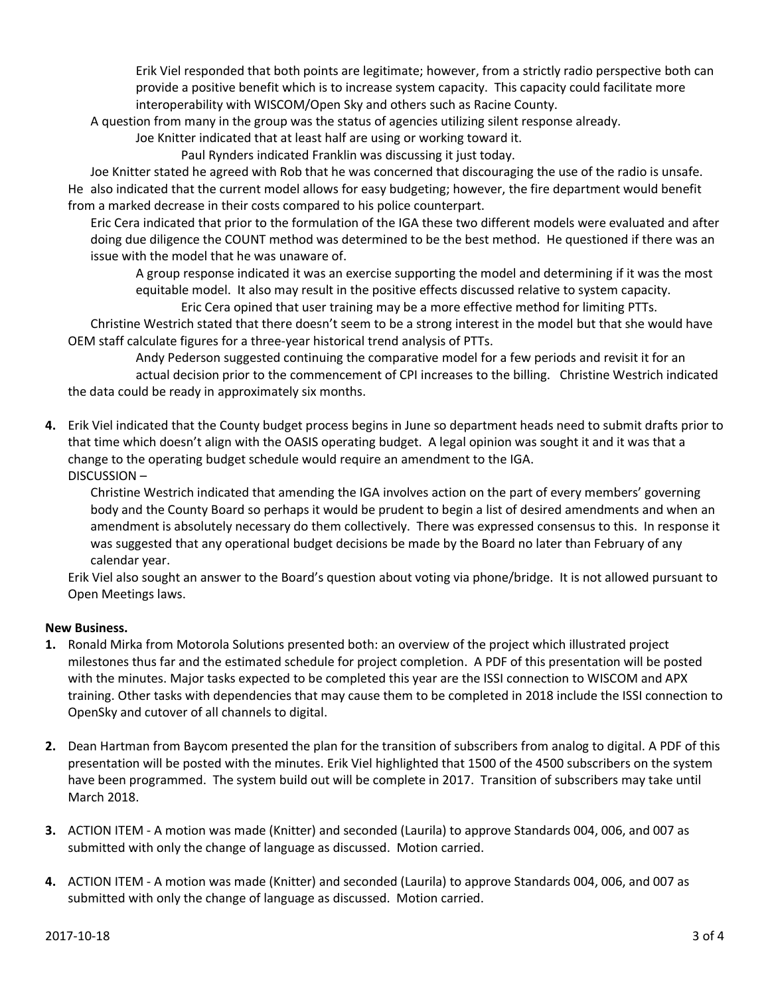Erik Viel responded that both points are legitimate; however, from a strictly radio perspective both can provide a positive benefit which is to increase system capacity. This capacity could facilitate more interoperability with WISCOM/Open Sky and others such as Racine County.

A question from many in the group was the status of agencies utilizing silent response already.

Joe Knitter indicated that at least half are using or working toward it. Paul Rynders indicated Franklin was discussing it just today.

Joe Knitter stated he agreed with Rob that he was concerned that discouraging the use of the radio is unsafe. He also indicated that the current model allows for easy budgeting; however, the fire department would benefit from a marked decrease in their costs compared to his police counterpart.

Eric Cera indicated that prior to the formulation of the IGA these two different models were evaluated and after doing due diligence the COUNT method was determined to be the best method. He questioned if there was an issue with the model that he was unaware of.

A group response indicated it was an exercise supporting the model and determining if it was the most equitable model. It also may result in the positive effects discussed relative to system capacity. Eric Cera opined that user training may be a more effective method for limiting PTTs.

Christine Westrich stated that there doesn't seem to be a strong interest in the model but that she would have OEM staff calculate figures for a three-year historical trend analysis of PTTs.

Andy Pederson suggested continuing the comparative model for a few periods and revisit it for an actual decision prior to the commencement of CPI increases to the billing. Christine Westrich indicated the data could be ready in approximately six months.

**4.** Erik Viel indicated that the County budget process begins in June so department heads need to submit drafts prior to that time which doesn't align with the OASIS operating budget. A legal opinion was sought it and it was that a change to the operating budget schedule would require an amendment to the IGA. DISCUSSION –

Christine Westrich indicated that amending the IGA involves action on the part of every members' governing body and the County Board so perhaps it would be prudent to begin a list of desired amendments and when an amendment is absolutely necessary do them collectively. There was expressed consensus to this. In response it was suggested that any operational budget decisions be made by the Board no later than February of any calendar year.

Erik Viel also sought an answer to the Board's question about voting via phone/bridge. It is not allowed pursuant to Open Meetings laws.

# **New Business.**

- **1.** Ronald Mirka from Motorola Solutions presented both: an overview of the project which illustrated project milestones thus far and the estimated schedule for project completion. A PDF of this presentation will be posted with the minutes. Major tasks expected to be completed this year are the ISSI connection to WISCOM and APX training. Other tasks with dependencies that may cause them to be completed in 2018 include the ISSI connection to OpenSky and cutover of all channels to digital.
- **2.** Dean Hartman from Baycom presented the plan for the transition of subscribers from analog to digital. A PDF of this presentation will be posted with the minutes. Erik Viel highlighted that 1500 of the 4500 subscribers on the system have been programmed. The system build out will be complete in 2017. Transition of subscribers may take until March 2018.
- **3.** ACTION ITEM A motion was made (Knitter) and seconded (Laurila) to approve Standards 004, 006, and 007 as submitted with only the change of language as discussed. Motion carried.
- **4.** ACTION ITEM A motion was made (Knitter) and seconded (Laurila) to approve Standards 004, 006, and 007 as submitted with only the change of language as discussed. Motion carried.